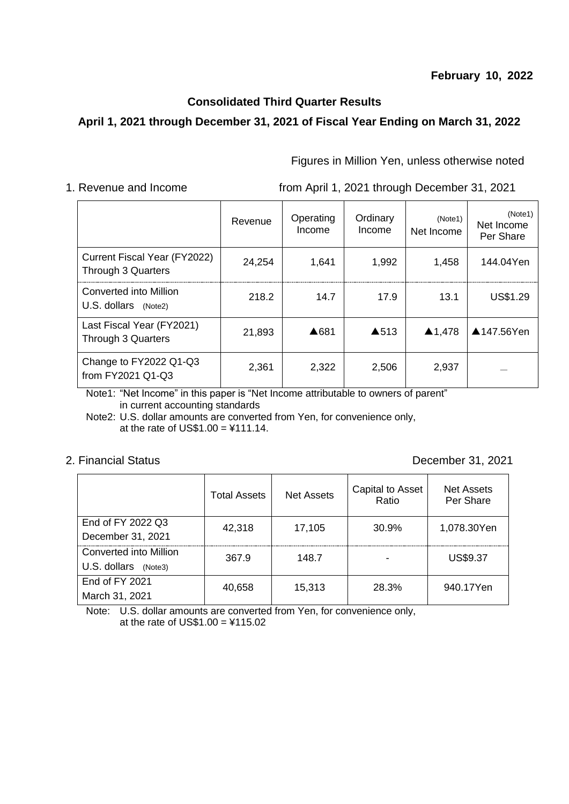### **February 10, 2022**

# **Consolidated Third Quarter Results**

## **April 1, 2021 through December 31, 2021 of Fiscal Year Ending on March 31, 2022**

Figures in Million Yen, unless otherwise noted

1. Revenue and Income from April 1, 2021 through December 31, 2021

|                                                    | Revenue | Operating<br>Income | Ordinary<br>Income | (Note1)<br>Net Income | (Note1)<br>Net Income<br>Per Share |
|----------------------------------------------------|---------|---------------------|--------------------|-----------------------|------------------------------------|
| Current Fiscal Year (FY2022)<br>Through 3 Quarters | 24,254  | 1,641               | 1,992              | 1,458                 | 144.04Yen                          |
| Converted into Million<br>U.S. dollars (Note2)     | 218.2   | 14.7                | 17.9               | 13.1                  | US\$1.29                           |
| Last Fiscal Year (FY2021)<br>Through 3 Quarters    | 21,893  | ▲681                | $\triangle$ 513    | ▲1,478                | ▲147.56Yen                         |
| Change to FY2022 Q1-Q3<br>from FY2021 Q1-Q3        | 2,361   | 2,322               | 2,506              | 2,937                 |                                    |

Note1: "Net Income" in this paper is "Net Income attributable to owners of parent" in current accounting standards

Note2: U.S. dollar amounts are converted from Yen, for convenience only, at the rate of  $US$1.00 = $111.14$ .

2. Financial Status December 31, 2021

|                         | <b>Total Assets</b> | Net Assets | Capital to Asset<br>Ratio | Net Assets<br>Per Share |  |
|-------------------------|---------------------|------------|---------------------------|-------------------------|--|
| End of FY 2022 Q3       | 42,318              | 17,105     | 30.9%                     | 1,078.30Yen             |  |
| December 31, 2021       |                     |            |                           |                         |  |
| Converted into Million  | 367.9               | 148.7      |                           | US\$9.37                |  |
| U.S. dollars<br>(Note3) |                     |            |                           |                         |  |
| End of FY 2021          | 40,658              | 15,313     | 28.3%                     | 940.17Yen               |  |
| March 31, 2021          |                     |            |                           |                         |  |

Note: U.S. dollar amounts are converted from Yen, for convenience only, at the rate of  $US$1.00 = $115.02$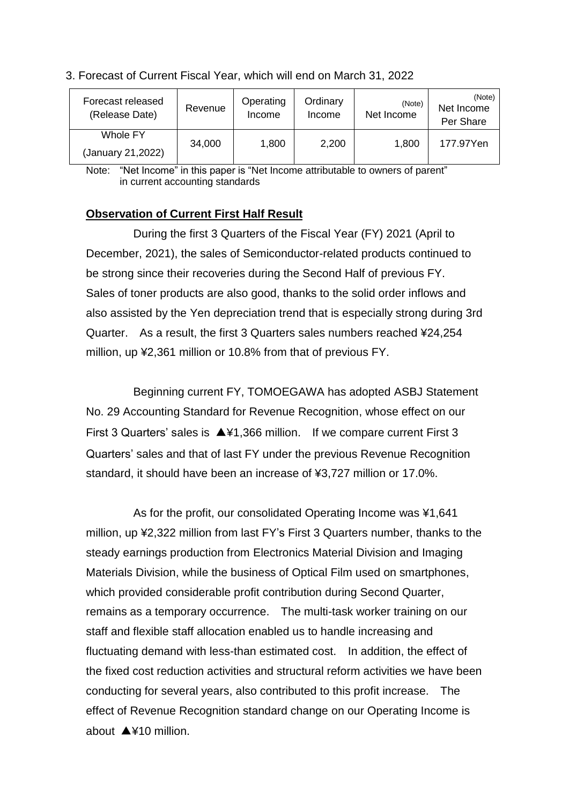| Forecast released<br>(Release Date) | Revenue | Operating<br>Income | Ordinary<br>Income | (Note)<br>Net Income | (Note)<br>Net Income<br>Per Share |
|-------------------------------------|---------|---------------------|--------------------|----------------------|-----------------------------------|
| Whole FY<br>(January 21,2022)       | 34,000  | 1,800               | 2,200              | 1,800                | 177.97Yen                         |

### 3. Forecast of Current Fiscal Year, which will end on March 31, 2022

Note: "Net Income" in this paper is "Net Income attributable to owners of parent" in current accounting standards

### **Observation of Current First Half Result**

During the first 3 Quarters of the Fiscal Year (FY) 2021 (April to December, 2021), the sales of Semiconductor-related products continued to be strong since their recoveries during the Second Half of previous FY. Sales of toner products are also good, thanks to the solid order inflows and also assisted by the Yen depreciation trend that is especially strong during 3rd Quarter. As a result, the first 3 Quarters sales numbers reached ¥24,254 million, up ¥2,361 million or 10.8% from that of previous FY.

Beginning current FY, TOMOEGAWA has adopted ASBJ Statement No. 29 Accounting Standard for Revenue Recognition, whose effect on our First 3 Quarters' sales is ▲¥1,366 million. If we compare current First 3 Quarters' sales and that of last FY under the previous Revenue Recognition standard, it should have been an increase of ¥3,727 million or 17.0%.

As for the profit, our consolidated Operating Income was ¥1,641 million, up ¥2,322 million from last FY's First 3 Quarters number, thanks to the steady earnings production from Electronics Material Division and Imaging Materials Division, while the business of Optical Film used on smartphones, which provided considerable profit contribution during Second Quarter, remains as a temporary occurrence. The multi-task worker training on our staff and flexible staff allocation enabled us to handle increasing and fluctuating demand with less-than estimated cost. In addition, the effect of the fixed cost reduction activities and structural reform activities we have been conducting for several years, also contributed to this profit increase. The effect of Revenue Recognition standard change on our Operating Income is about ▲¥10 million.